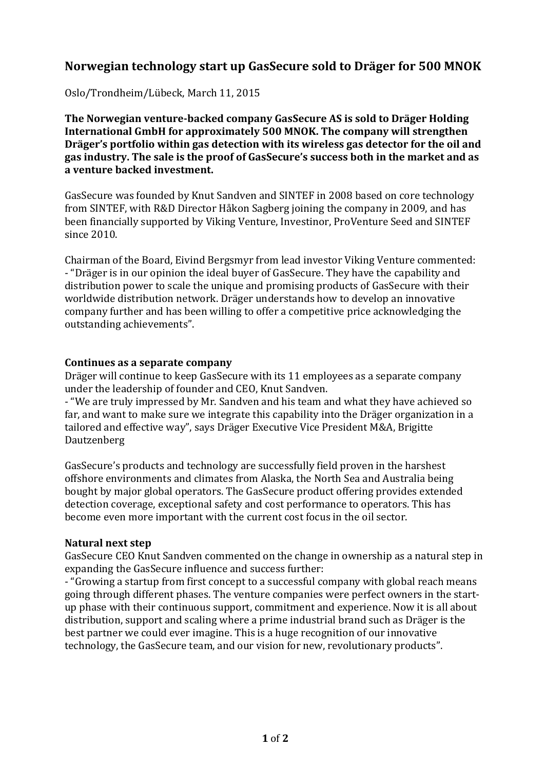# **Norwegian technology start up GasSecure sold to Dräger for 500 MNOK**

Oslo/Trondheim/Lübeck, March 11, 2015

**The Norwegian venture-backed company GasSecure AS is sold to Dräger Holding International GmbH for approximately 500 MNOK. The company will strengthen Dräger's portfolio within gas detection with its wireless gas detector for the oil and gas industry. The sale is the proof of GasSecure's success both in the market and as a venture backed investment.**

GasSecure was founded by Knut Sandven and SINTEF in 2008 based on core technology from SINTEF, with R&D Director Håkon Sagberg joining the company in 2009, and has been financially supported by Viking Venture, Investinor, ProVenture Seed and SINTEF since 2010.

Chairman of the Board, Eivind Bergsmyr from lead investor Viking Venture commented: - "Dräger is in our opinion the ideal buyer of GasSecure. They have the capability and distribution power to scale the unique and promising products of GasSecure with their worldwide distribution network. Dräger understands how to develop an innovative company further and has been willing to offer a competitive price acknowledging the outstanding achievements".

## **Continues as a separate company**

Dräger will continue to keep GasSecure with its 11 employees as a separate company under the leadership of founder and CEO, Knut Sandven.

- "We are truly impressed by Mr. Sandven and his team and what they have achieved so far, and want to make sure we integrate this capability into the Dräger organization in a tailored and effective way", says Dräger Executive Vice President M&A, Brigitte Dautzenberg

GasSecure's products and technology are successfully field proven in the harshest offshore environments and climates from Alaska, the North Sea and Australia being bought by major global operators. The GasSecure product offering provides extended detection coverage, exceptional safety and cost performance to operators. This has become even more important with the current cost focus in the oil sector.

## **Natural next step**

GasSecure CEO Knut Sandven commented on the change in ownership as a natural step in expanding the GasSecure influence and success further:

- "Growing a startup from first concept to a successful company with global reach means going through different phases. The venture companies were perfect owners in the startup phase with their continuous support, commitment and experience. Now it is all about distribution, support and scaling where a prime industrial brand such as Dräger is the best partner we could ever imagine. This is a huge recognition of our innovative technology, the GasSecure team, and our vision for new, revolutionary products".